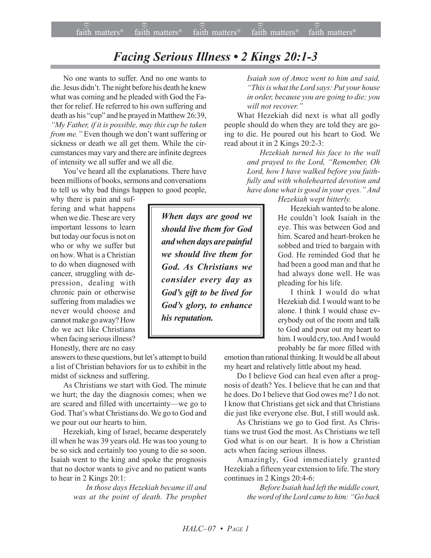## *Facing Serious Illness • 2 Kings 20:1-3*

No one wants to suffer. And no one wants to die. Jesus didn't. The night before his death he knew what was coming and he pleaded with God the Father for relief. He referred to his own suffering and death as his "cup" and he prayed in Matthew 26:39, *ìMy Father, if it is possible, may this cup be taken from me.* " Even though we don't want suffering or sickness or death we all get them. While the circumstances may vary and there are infinite degrees of intensity we all suffer and we all die.

You've heard all the explanations. There have been millions of books, sermons and conversations to tell us why bad things happen to good people,

why there is pain and suffering and what happens when we die. These are very important lessons to learn but today our focus is not on who or why we suffer but on how. What is a Christian to do when diagnosed with cancer, struggling with depression, dealing with chronic pain or otherwise suffering from maladies we never would choose and cannot make go away? How do we act like Christians when facing serious illness? Honestly, there are no easy

answers to these questions, but let's attempt to build a list of Christian behaviors for us to exhibit in the midst of sickness and suffering.

As Christians we start with God. The minute we hurt; the day the diagnosis comes; when we are scared and filled with uncertainty—we go to God. That's what Christians do. We go to God and we pour out our hearts to him.

Hezekiah, king of Israel, became desperately ill when he was 39 years old. He was too young to be so sick and certainly too young to die so soon. Isaiah went to the king and spoke the prognosis that no doctor wants to give and no patient wants to hear in 2 Kings 20:1:

> *In those days Hezekiah became ill and was at the point of death. The prophet*

*When days are good we should live them for God and when days are painful we should live them for God. As Christians we consider every day as Godís gift to be lived for Godís glory, to enhance his reputation.*

*Isaiah son of Amoz went to him and said, ìThis is what the Lord says: Put your house in order, because you are going to die; you* will not recover.<sup>"</sup>

What Hezekiah did next is what all godly people should do when they are told they are going to die. He poured out his heart to God. We read about it in 2 Kings 20:2-3:

> *Hezekiah turned his face to the wall* and prayed to the Lord, "Remember, Oh *Lord, how I have walked before you faithfully and with wholehearted devotion and* have done what is good in your eyes." And

*Hezekiah wept bitterly.*

Hezekiah wanted to be alone. He couldn't look Isaiah in the eye. This was between God and him. Scared and heart-broken he sobbed and tried to bargain with God. He reminded God that he had been a good man and that he had always done well. He was pleading for his life.

I think I would do what Hezekiah did. I would want to be alone. I think I would chase everybody out of the room and talk to God and pour out my heart to him. I would cry, too. And I would probably be far more filled with

emotion than rational thinking. It would be all about my heart and relatively little about my head.

Do I believe God can heal even after a prognosis of death? Yes. I believe that he can and that he does. Do I believe that God owes me? I do not. I know that Christians get sick and that Christians die just like everyone else. But, I still would ask.

As Christians we go to God first. As Christians we trust God the most. As Christians we tell God what is on our heart. It is how a Christian acts when facing serious illness.

Amazingly, God immediately granted Hezekiah a fifteen year extension to life. The story continues in 2 Kings 20:4-6:

> *Before Isaiah had left the middle court, the word of the Lord came to him: ìGo back*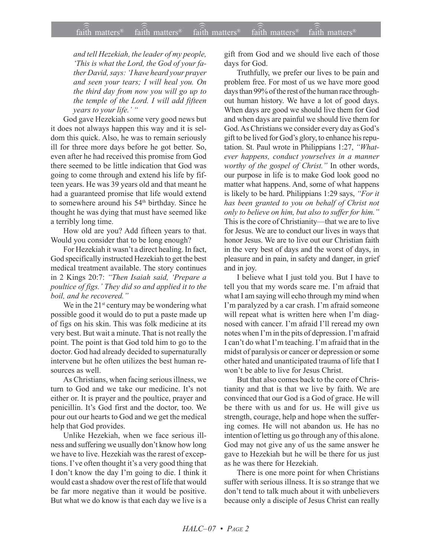*and tell Hezekiah, the leader of my people, ëThis is what the Lord, the God of your father David, says: ëI have heard your prayer and seen your tears; I will heal you. On the third day from now you will go up to the temple of the Lord. I will add fifteen years to your life.*<sup>*'*</sup>

God gave Hezekiah some very good news but it does not always happen this way and it is seldom this quick. Also, he was to remain seriously ill for three more days before he got better. So, even after he had received this promise from God there seemed to be little indication that God was going to come through and extend his life by fifteen years. He was 39 years old and that meant he had a guaranteed promise that life would extend to somewhere around his 54<sup>th</sup> birthday. Since he thought he was dying that must have seemed like a terribly long time.

How old are you? Add fifteen years to that. Would you consider that to be long enough?

For Hezekiah it wasn't a direct healing. In fact, God specifically instructed Hezekiah to get the best medical treatment available. The story continues in 2 Kings 20:7: *ìThen Isaiah said, ëPrepare a* poultice of figs.' They did so and applied it to the *boil, and he recovered.*"

We in the  $21<sup>st</sup>$  century may be wondering what possible good it would do to put a paste made up of figs on his skin. This was folk medicine at its very best. But wait a minute. That is not really the point. The point is that God told him to go to the doctor. God had already decided to supernaturally intervene but he often utilizes the best human resources as well.

As Christians, when facing serious illness, we turn to God and we take our medicine. It's not either or. It is prayer and the poultice, prayer and penicillin. It's God first and the doctor, too. We pour out our hearts to God and we get the medical help that God provides.

Unlike Hezekiah, when we face serious illness and suffering we usually don't know how long we have to live. Hezekiah was the rarest of exceptions. I've often thought it's a very good thing that I don't know the day I'm going to die. I think it would cast a shadow over the rest of life that would be far more negative than it would be positive. But what we do know is that each day we live is a gift from God and we should live each of those days for God.

Truthfully, we prefer our lives to be pain and problem free. For most of us we have more good days than 99% of the rest of the human race throughout human history. We have a lot of good days. When days are good we should live them for God and when days are painful we should live them for God. As Christians we consider every day as God's gift to be lived for God's glory, to enhance his reputation. St. Paul wrote in Philippians 1:27, "What*ever happens, conduct yourselves in a manner worthy of the gospel of Christ.*" In other words, our purpose in life is to make God look good no matter what happens. And, some of what happens is likely to be hard. Philippians 1:29 says, "For it *has been granted to you on behalf of Christ not only to believe on him, but also to suffer for him.*" This is the core of Christianity—that we are to live for Jesus. We are to conduct our lives in ways that honor Jesus. We are to live out our Christian faith in the very best of days and the worst of days, in pleasure and in pain, in safety and danger, in grief and in joy.

I believe what I just told you. But I have to tell you that my words scare me. I'm afraid that what I am saying will echo through my mind when I'm paralyzed by a car crash. I'm afraid someone will repeat what is written here when I'm diagnosed with cancer. I'm afraid I'll reread my own notes when I'm in the pits of depression. I'm afraid I can't do what I'm teaching. I'm afraid that in the midst of paralysis or cancer or depression or some other hated and unanticipated trauma of life that I won't be able to live for Jesus Christ.

But that also comes back to the core of Christianity and that is that we live by faith. We are convinced that our God is a God of grace. He will be there with us and for us. He will give us strength, courage, help and hope when the suffering comes. He will not abandon us. He has no intention of letting us go through any of this alone. God may not give any of us the same answer he gave to Hezekiah but he will be there for us just as he was there for Hezekiah.

There is one more point for when Christians suffer with serious illness. It is so strange that we don't tend to talk much about it with unbelievers because only a disciple of Jesus Christ can really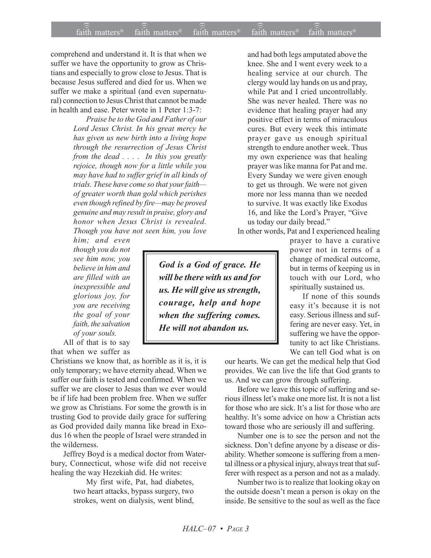comprehend and understand it. It is that when we suffer we have the opportunity to grow as Christians and especially to grow close to Jesus. That is because Jesus suffered and died for us. When we suffer we make a spiritual (and even supernatural) connection to Jesus Christ that cannot be made in health and ease. Peter wrote in 1 Peter 1:3-7:

> *Praise be to the God and Father of our Lord Jesus Christ. In his great mercy he has given us new birth into a living hope through the resurrection of Jesus Christ from the dead . . . . In this you greatly rejoice, though now for a little while you may have had to suffer grief in all kinds of trials. These have come so that your faith of greater worth than gold which perishes even though refined by fire—may be proved genuine and may result in praise, glory and honor when Jesus Christ is revealed. Though you have not seen him, you love*

*him; and even though you do not see him now, you believe in him and are filled with an inexpressible and glorious joy, for you are receiving the goal of your faith, the salvation of your souls.* All of that is to say

that when we suffer as

Christians we know that, as horrible as it is, it is only temporary; we have eternity ahead. When we suffer our faith is tested and confirmed. When we suffer we are closer to Jesus than we ever would be if life had been problem free. When we suffer we grow as Christians. For some the growth is in trusting God to provide daily grace for suffering as God provided daily manna like bread in Exodus 16 when the people of Israel were stranded in the wilderness.

Jeffrey Boyd is a medical doctor from Waterbury, Connecticut, whose wife did not receive healing the way Hezekiah did. He writes:

> My first wife, Pat, had diabetes, two heart attacks, bypass surgery, two strokes, went on dialysis, went blind,

and had both legs amputated above the knee. She and I went every week to a healing service at our church. The clergy would lay hands on us and pray, while Pat and I cried uncontrollably. She was never healed. There was no evidence that healing prayer had any positive effect in terms of miraculous cures. But every week this intimate prayer gave us enough spiritual strength to endure another week. Thus my own experience was that healing prayer was like manna for Pat and me. Every Sunday we were given enough to get us through. We were not given more nor less manna than we needed to survive. It was exactly like Exodus 16, and like the Lord's Prayer, "Give" us today our daily bread."

In other words, Pat and I experienced healing

*God is a God of grace. He will be there with us and for us. He will give us strength, courage, help and hope when the suffering comes. He will not abandon us.*

prayer to have a curative power not in terms of a change of medical outcome, but in terms of keeping us in touch with our Lord, who spiritually sustained us.

If none of this sounds easy it's because it is not easy. Serious illness and suffering are never easy. Yet, in suffering we have the opportunity to act like Christians. We can tell God what is on

our hearts. We can get the medical help that God provides. We can live the life that God grants to us. And we can grow through suffering.

Before we leave this topic of suffering and serious illness let's make one more list. It is not a list. for those who are sick. It's a list for those who are healthy. It's some advice on how a Christian acts toward those who are seriously ill and suffering.

Number one is to see the person and not the sickness. Don't define anyone by a disease or disability. Whether someone is suffering from a mental illness or a physical injury, always treat that sufferer with respect as a person and not as a malady.

Number two is to realize that looking okay on the outside doesn't mean a person is okay on the inside. Be sensitive to the soul as well as the face